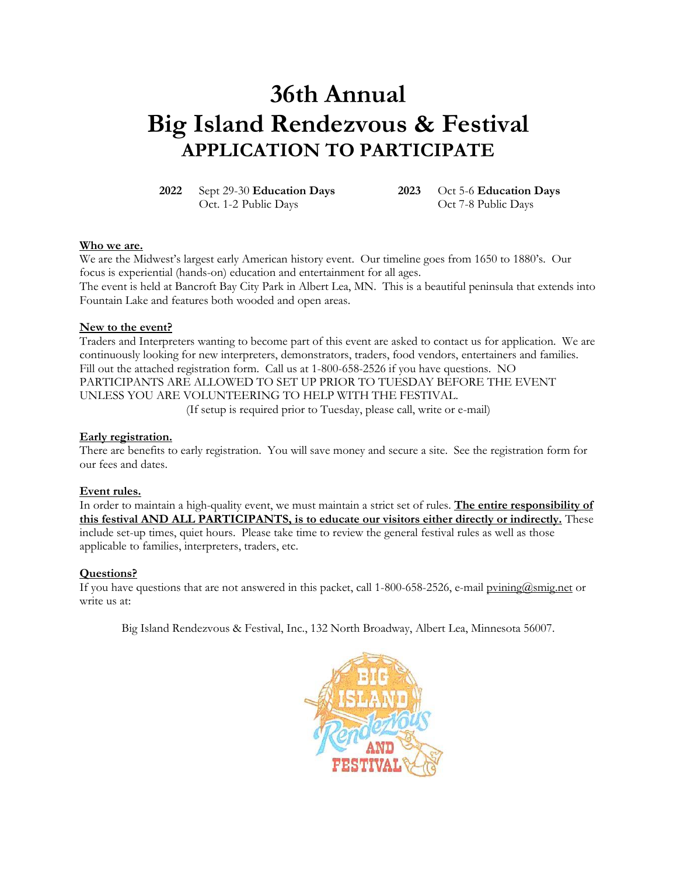# **36th Annual Big Island Rendezvous & Festival APPLICATION TO PARTICIPATE**

**2022** Sept 29-30 **Education Days 2023** Oct 5-6 **Education Days**

Oct. 1-2 Public Days Oct 7-8 Public Days

#### **Who we are.**

We are the Midwest's largest early American history event. Our timeline goes from 1650 to 1880's. Our focus is experiential (hands-on) education and entertainment for all ages. The event is held at Bancroft Bay City Park in Albert Lea, MN. This is a beautiful peninsula that extends into Fountain Lake and features both wooded and open areas.

#### **New to the event?**

Traders and Interpreters wanting to become part of this event are asked to contact us for application. We are continuously looking for new interpreters, demonstrators, traders, food vendors, entertainers and families. Fill out the attached registration form. Call us at 1-800-658-2526 if you have questions. NO PARTICIPANTS ARE ALLOWED TO SET UP PRIOR TO TUESDAY BEFORE THE EVENT UNLESS YOU ARE VOLUNTEERING TO HELP WITH THE FESTIVAL. (If setup is required prior to Tuesday, please call, write or e-mail)

#### **Early registration.**

There are benefits to early registration. You will save money and secure a site. See the registration form for our fees and dates.

#### **Event rules.**

In order to maintain a high-quality event, we must maintain a strict set of rules. **The entire responsibility of this festival AND ALL PARTICIPANTS, is to educate our visitors either directly or indirectly.** These include set-up times, quiet hours. Please take time to review the general festival rules as well as those applicable to families, interpreters, traders, etc.

#### **Questions?**

If you have questions that are not answered in this packet, call 1-800-658-2526, e-mail [pvining@smig.net](mailto:pvining@smig.net) or write us at:

Big Island Rendezvous & Festival, Inc., 132 North Broadway, Albert Lea, Minnesota 56007.

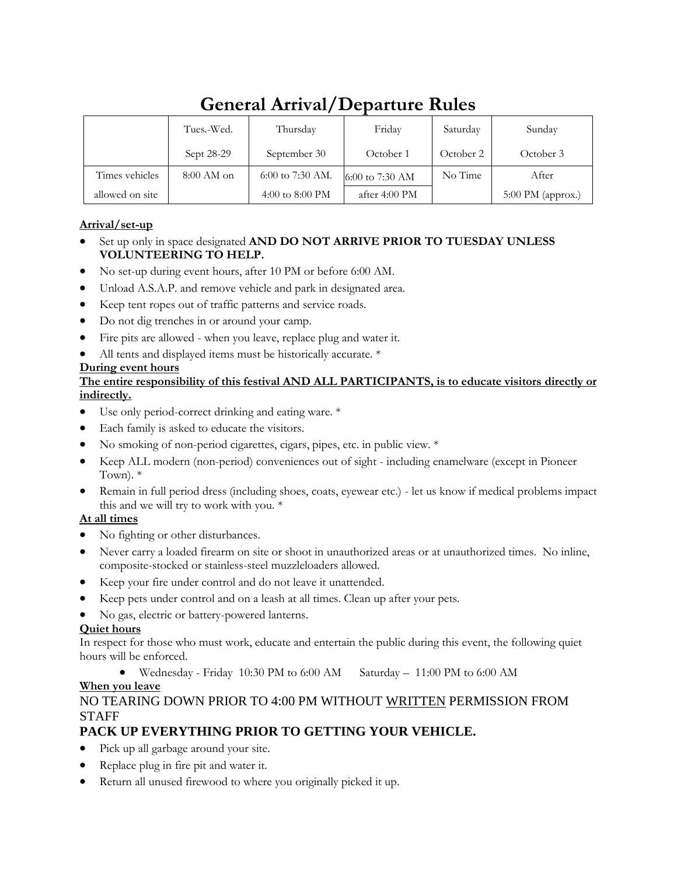|                 | Tues.-Wed.   | Thursdav           | Friday                  | Saturday  | Sunday                      |
|-----------------|--------------|--------------------|-------------------------|-----------|-----------------------------|
|                 | Sept 28-29   | September 30       | October 1               | October 2 | October 3                   |
| Times vehicles  | $8:00$ AM on | $6:00$ to 7:30 AM. | 6:00 to 7:30 AM         | No Time   | After                       |
| allowed on site |              | 4:00 to 8:00 PM    | after $4:00 \text{ PM}$ |           | $5:00 \text{ PM (approx.)}$ |

## **General Arrival/Departure Rules**

## **Arrival/set-up**

- Set up only in space designated **AND DO NOT ARRIVE PRIOR TO TUESDAY UNLESS VOLUNTEERING TO HELP.**
- No set-up during event hours, after 10 PM or before 6:00 AM.
- Unload A.S.A.P. and remove vehicle and park in designated area.
- Keep tent ropes out of traffic patterns and service roads.
- Do not dig trenches in or around your camp.
- Fire pits are allowed when you leave, replace plug and water it.
- All tents and displayed items must be historically accurate. \*

### **During event hours**

## **The entire responsibility of this festival AND ALL PARTICIPANTS, is to educate visitors directly or indirectly.**

- Use only period-correct drinking and eating ware.  $*$
- Each family is asked to educate the visitors.
- No smoking of non-period cigarettes, cigars, pipes, etc. in public view. \*
- Keep ALL modern (non-period) conveniences out of sight including enamelware (except in Pioneer Town). \*
- Remain in full period dress (including shoes, coats, eyewear etc.) let us know if medical problems impact this and we will try to work with you. \*

## **At all times**

- No fighting or other disturbances.
- Never carry a loaded firearm on site or shoot in unauthorized areas or at unauthorized times. No inline, composite-stocked or stainless-steel muzzleloaders allowed.
- Keep your fire under control and do not leave it unattended.
- Keep pets under control and on a leash at all times. Clean up after your pets.
- No gas, electric or battery-powered lanterns.

## **Quiet hours**

In respect for those who must work, educate and entertain the public during this event, the following quiet hours will be enforced.

• Wednesday - Friday 10:30 PM to 6:00 AM Saturday – 11:00 PM to 6:00 AM

## **When you leave**

## NO TEARING DOWN PRIOR TO 4:00 PM WITHOUT WRITTEN PERMISSION FROM **STAFF**

## **PACK UP EVERYTHING PRIOR TO GETTING YOUR VEHICLE.**

- Pick up all garbage around your site.
- Replace plug in fire pit and water it.
- Return all unused firewood to where you originally picked it up.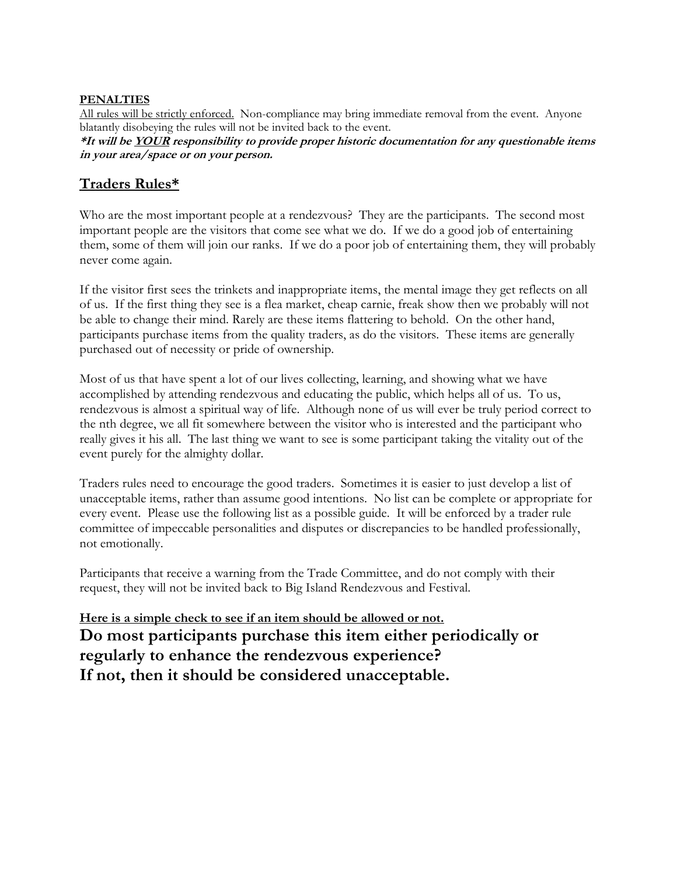### **PENALTIES**

All rules will be strictly enforced. Non-compliance may bring immediate removal from the event. Anyone blatantly disobeying the rules will not be invited back to the event.

**\*It will be YOUR responsibility to provide proper historic documentation for any questionable items in your area/space or on your person.**

## **Traders Rules\***

Who are the most important people at a rendezvous? They are the participants. The second most important people are the visitors that come see what we do. If we do a good job of entertaining them, some of them will join our ranks. If we do a poor job of entertaining them, they will probably never come again.

If the visitor first sees the trinkets and inappropriate items, the mental image they get reflects on all of us. If the first thing they see is a flea market, cheap carnie, freak show then we probably will not be able to change their mind. Rarely are these items flattering to behold. On the other hand, participants purchase items from the quality traders, as do the visitors. These items are generally purchased out of necessity or pride of ownership.

Most of us that have spent a lot of our lives collecting, learning, and showing what we have accomplished by attending rendezvous and educating the public, which helps all of us. To us, rendezvous is almost a spiritual way of life. Although none of us will ever be truly period correct to the nth degree, we all fit somewhere between the visitor who is interested and the participant who really gives it his all. The last thing we want to see is some participant taking the vitality out of the event purely for the almighty dollar.

Traders rules need to encourage the good traders. Sometimes it is easier to just develop a list of unacceptable items, rather than assume good intentions. No list can be complete or appropriate for every event. Please use the following list as a possible guide. It will be enforced by a trader rule committee of impeccable personalities and disputes or discrepancies to be handled professionally, not emotionally.

Participants that receive a warning from the Trade Committee, and do not comply with their request, they will not be invited back to Big Island Rendezvous and Festival.

**Here is a simple check to see if an item should be allowed or not. Do most participants purchase this item either periodically or regularly to enhance the rendezvous experience? If not, then it should be considered unacceptable.**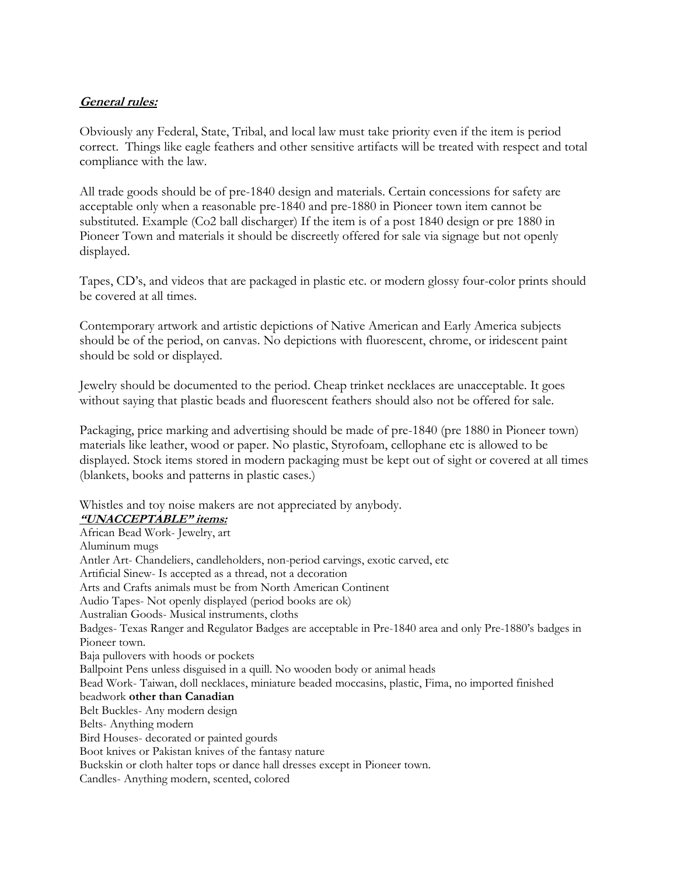## **General rules:**

Obviously any Federal, State, Tribal, and local law must take priority even if the item is period correct. Things like eagle feathers and other sensitive artifacts will be treated with respect and total compliance with the law.

All trade goods should be of pre-1840 design and materials. Certain concessions for safety are acceptable only when a reasonable pre-1840 and pre-1880 in Pioneer town item cannot be substituted. Example (Co2 ball discharger) If the item is of a post 1840 design or pre 1880 in Pioneer Town and materials it should be discreetly offered for sale via signage but not openly displayed.

Tapes, CD's, and videos that are packaged in plastic etc. or modern glossy four-color prints should be covered at all times.

Contemporary artwork and artistic depictions of Native American and Early America subjects should be of the period, on canvas. No depictions with fluorescent, chrome, or iridescent paint should be sold or displayed.

Jewelry should be documented to the period. Cheap trinket necklaces are unacceptable. It goes without saying that plastic beads and fluorescent feathers should also not be offered for sale.

Packaging, price marking and advertising should be made of pre-1840 (pre 1880 in Pioneer town) materials like leather, wood or paper. No plastic, Styrofoam, cellophane etc is allowed to be displayed. Stock items stored in modern packaging must be kept out of sight or covered at all times (blankets, books and patterns in plastic cases.)

Whistles and toy noise makers are not appreciated by anybody.

#### **"UNACCEPTABLE" items:**

African Bead Work- Jewelry, art Aluminum mugs Antler Art- Chandeliers, candleholders, non-period carvings, exotic carved, etc Artificial Sinew- Is accepted as a thread, not a decoration Arts and Crafts animals must be from North American Continent Audio Tapes- Not openly displayed (period books are ok) Australian Goods- Musical instruments, cloths Badges- Texas Ranger and Regulator Badges are acceptable in Pre-1840 area and only Pre-1880's badges in Pioneer town. Baja pullovers with hoods or pockets Ballpoint Pens unless disguised in a quill. No wooden body or animal heads Bead Work- Taiwan, doll necklaces, miniature beaded moccasins, plastic, Fima, no imported finished beadwork **other than Canadian** Belt Buckles- Any modern design Belts- Anything modern Bird Houses- decorated or painted gourds Boot knives or Pakistan knives of the fantasy nature Buckskin or cloth halter tops or dance hall dresses except in Pioneer town. Candles- Anything modern, scented, colored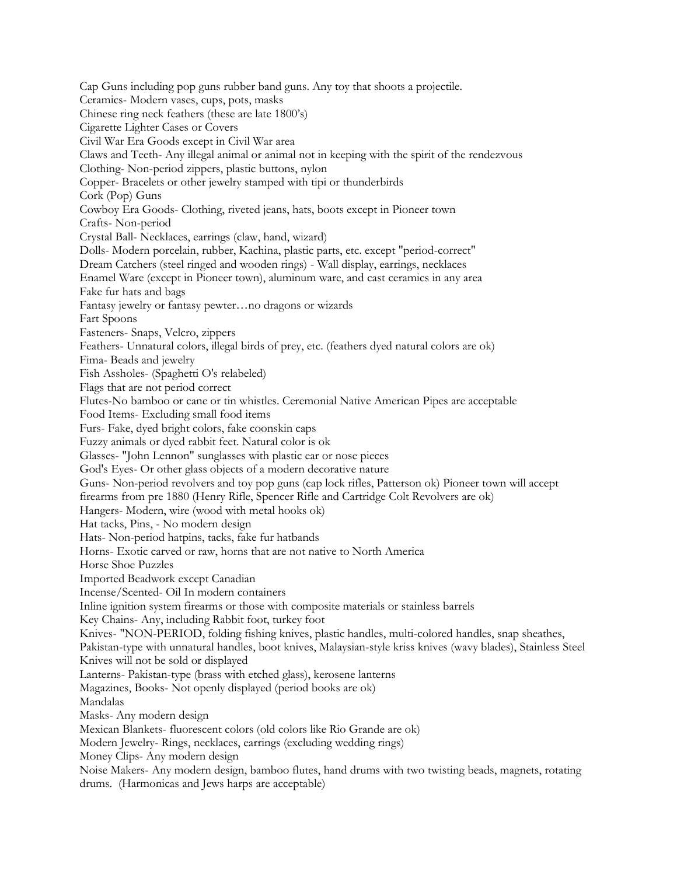Cap Guns including pop guns rubber band guns. Any toy that shoots a projectile. Ceramics- Modern vases, cups, pots, masks Chinese ring neck feathers (these are late 1800's) Cigarette Lighter Cases or Covers Civil War Era Goods except in Civil War area Claws and Teeth- Any illegal animal or animal not in keeping with the spirit of the rendezvous Clothing- Non-period zippers, plastic buttons, nylon Copper- Bracelets or other jewelry stamped with tipi or thunderbirds Cork (Pop) Guns Cowboy Era Goods- Clothing, riveted jeans, hats, boots except in Pioneer town Crafts- Non-period Crystal Ball- Necklaces, earrings (claw, hand, wizard) Dolls- Modern porcelain, rubber, Kachina, plastic parts, etc. except "period-correct" Dream Catchers (steel ringed and wooden rings) - Wall display, earrings, necklaces Enamel Ware (except in Pioneer town), aluminum ware, and cast ceramics in any area Fake fur hats and bags Fantasy jewelry or fantasy pewter…no dragons or wizards Fart Spoons Fasteners- Snaps, Velcro, zippers Feathers- Unnatural colors, illegal birds of prey, etc. (feathers dyed natural colors are ok) Fima- Beads and jewelry Fish Assholes- (Spaghetti O's relabeled) Flags that are not period correct Flutes-No bamboo or cane or tin whistles. Ceremonial Native American Pipes are acceptable Food Items- Excluding small food items Furs- Fake, dyed bright colors, fake coonskin caps Fuzzy animals or dyed rabbit feet. Natural color is ok Glasses- "John Lennon" sunglasses with plastic ear or nose pieces God's Eyes- Or other glass objects of a modern decorative nature Guns- Non-period revolvers and toy pop guns (cap lock rifles, Patterson ok) Pioneer town will accept firearms from pre 1880 (Henry Rifle, Spencer Rifle and Cartridge Colt Revolvers are ok) Hangers- Modern, wire (wood with metal hooks ok) Hat tacks, Pins, - No modern design Hats- Non-period hatpins, tacks, fake fur hatbands Horns- Exotic carved or raw, horns that are not native to North America Horse Shoe Puzzles Imported Beadwork except Canadian Incense/Scented- Oil In modern containers Inline ignition system firearms or those with composite materials or stainless barrels Key Chains- Any, including Rabbit foot, turkey foot Knives- "NON-PERIOD, folding fishing knives, plastic handles, multi-colored handles, snap sheathes, Pakistan-type with unnatural handles, boot knives, Malaysian-style kriss knives (wavy blades), Stainless Steel Knives will not be sold or displayed Lanterns- Pakistan-type (brass with etched glass), kerosene lanterns Magazines, Books- Not openly displayed (period books are ok) Mandalas Masks- Any modern design Mexican Blankets- fluorescent colors (old colors like Rio Grande are ok) Modern Jewelry- Rings, necklaces, earrings (excluding wedding rings) Money Clips- Any modern design Noise Makers- Any modern design, bamboo flutes, hand drums with two twisting beads, magnets, rotating drums. (Harmonicas and Jews harps are acceptable)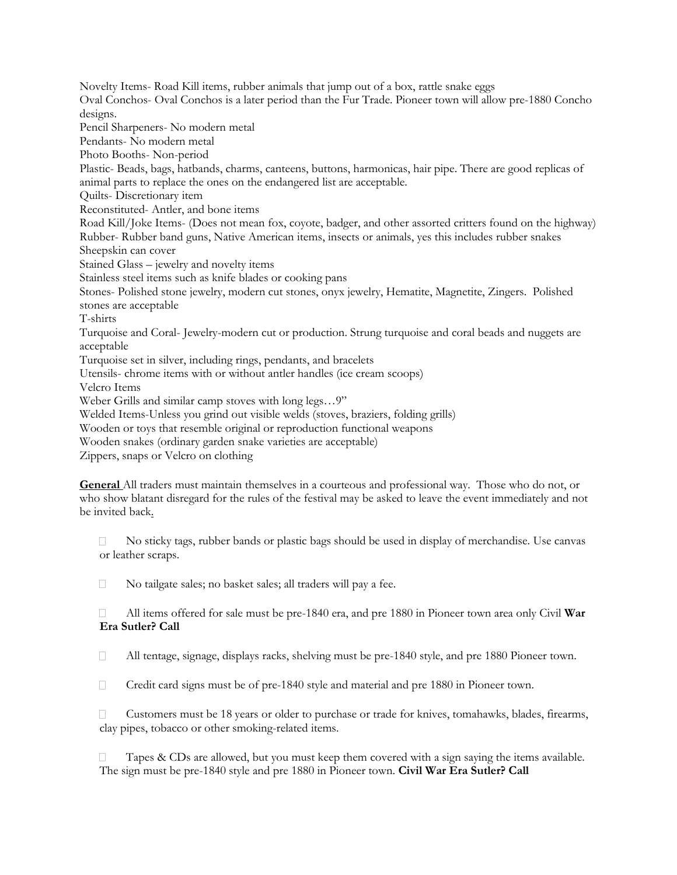Novelty Items- Road Kill items, rubber animals that jump out of a box, rattle snake eggs Oval Conchos- Oval Conchos is a later period than the Fur Trade. Pioneer town will allow pre-1880 Concho designs. Pencil Sharpeners- No modern metal Pendants- No modern metal Photo Booths- Non-period Plastic- Beads, bags, hatbands, charms, canteens, buttons, harmonicas, hair pipe. There are good replicas of animal parts to replace the ones on the endangered list are acceptable. Quilts- Discretionary item Reconstituted- Antler, and bone items Road Kill/Joke Items- (Does not mean fox, coyote, badger, and other assorted critters found on the highway) Rubber- Rubber band guns, Native American items, insects or animals, yes this includes rubber snakes Sheepskin can cover Stained Glass – jewelry and novelty items Stainless steel items such as knife blades or cooking pans Stones- Polished stone jewelry, modern cut stones, onyx jewelry, Hematite, Magnetite, Zingers. Polished stones are acceptable T-shirts Turquoise and Coral- Jewelry-modern cut or production. Strung turquoise and coral beads and nuggets are acceptable Turquoise set in silver, including rings, pendants, and bracelets Utensils- chrome items with or without antler handles (ice cream scoops) Velcro Items Weber Grills and similar camp stoves with long legs…9" Welded Items-Unless you grind out visible welds (stoves, braziers, folding grills) Wooden or toys that resemble original or reproduction functional weapons

Wooden snakes (ordinary garden snake varieties are acceptable)

Zippers, snaps or Velcro on clothing

**General** All traders must maintain themselves in a courteous and professional way. Those who do not, or who show blatant disregard for the rules of the festival may be asked to leave the event immediately and not be invited back.

 $\Box$  No sticky tags, rubber bands or plastic bags should be used in display of merchandise. Use canvas or leather scraps.

No tailgate sales; no basket sales; all traders will pay a fee.

 All items offered for sale must be pre-1840 era, and pre 1880 in Pioneer town area only Civil **War**  П. **Era Sutler? Call** 

 $\Box$ All tentage, signage, displays racks, shelving must be pre-1840 style, and pre 1880 Pioneer town.

 $\Box$  Credit card signs must be of pre-1840 style and material and pre 1880 in Pioneer town.

 $\Box$  Customers must be 18 years or older to purchase or trade for knives, tomahawks, blades, firearms, clay pipes, tobacco or other smoking-related items.

 $\Box$  Tapes & CDs are allowed, but you must keep them covered with a sign saying the items available. The sign must be pre-1840 style and pre 1880 in Pioneer town. **Civil War Era Sutler? Call**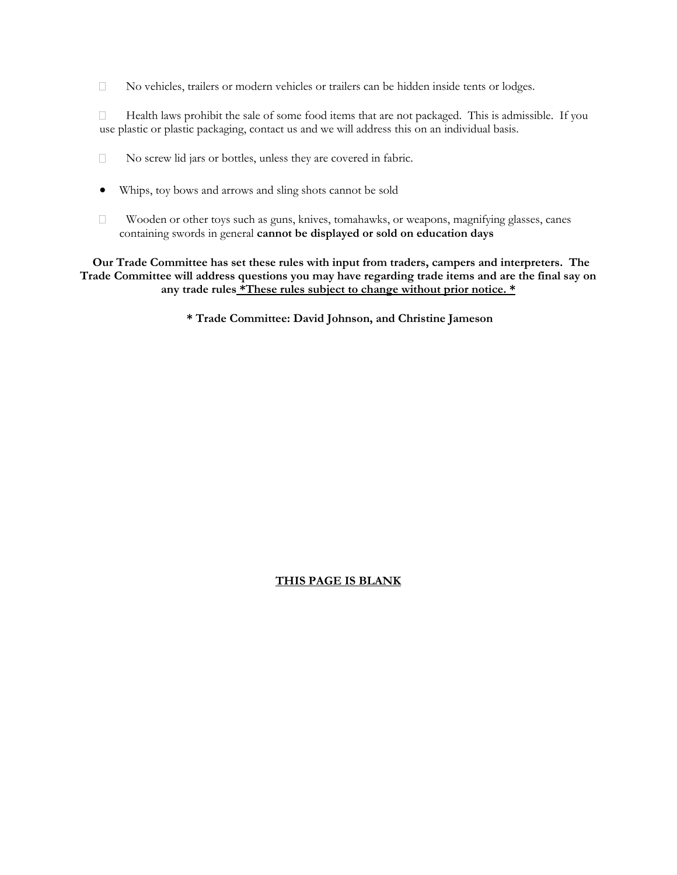No vehicles, trailers or modern vehicles or trailers can be hidden inside tents or lodges.

 $\Box$  Health laws prohibit the sale of some food items that are not packaged. This is admissible. If you use plastic or plastic packaging, contact us and we will address this on an individual basis.

- $\Box$ No screw lid jars or bottles, unless they are covered in fabric.
- Whips, toy bows and arrows and sling shots cannot be sold
- $\Box$  Wooden or other toys such as guns, knives, tomahawks, or weapons, magnifying glasses, canes containing swords in general **cannot be displayed or sold on education days**

**Our Trade Committee has set these rules with input from traders, campers and interpreters. The Trade Committee will address questions you may have regarding trade items and are the final say on any trade rules \*These rules subject to change without prior notice. \***

**\* Trade Committee: David Johnson, and Christine Jameson**

#### **THIS PAGE IS BLANK**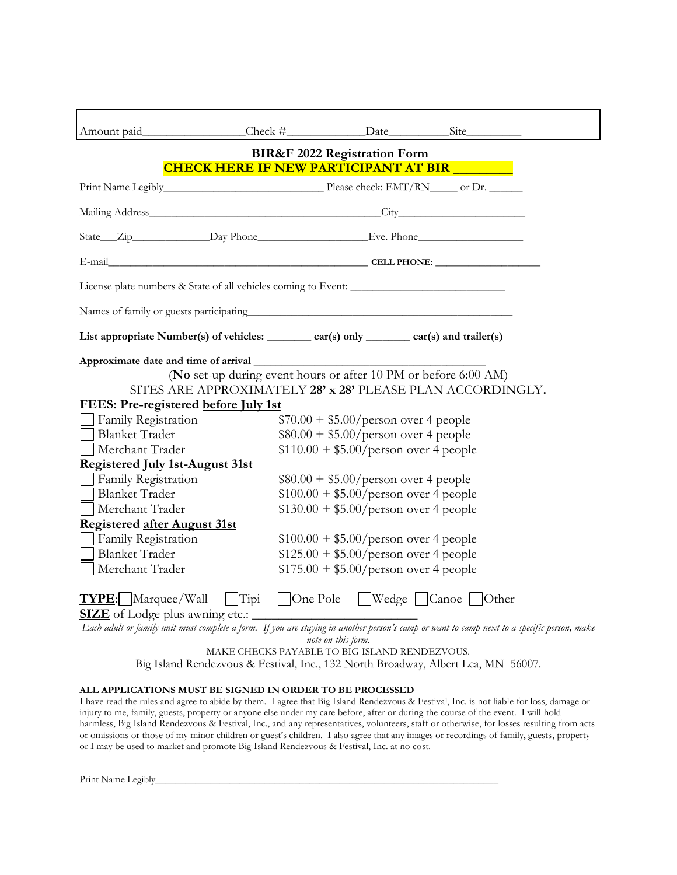| Amount paid                                                                                                                                 |  | Check # Date Site                       |                                                            |  |  |  |  |
|---------------------------------------------------------------------------------------------------------------------------------------------|--|-----------------------------------------|------------------------------------------------------------|--|--|--|--|
|                                                                                                                                             |  |                                         |                                                            |  |  |  |  |
| <b>BIR&amp;F 2022 Registration Form</b><br><b>CHECK HERE IF NEW PARTICIPANT AT BIR</b>                                                      |  |                                         |                                                            |  |  |  |  |
|                                                                                                                                             |  |                                         |                                                            |  |  |  |  |
|                                                                                                                                             |  |                                         |                                                            |  |  |  |  |
|                                                                                                                                             |  |                                         |                                                            |  |  |  |  |
|                                                                                                                                             |  |                                         |                                                            |  |  |  |  |
|                                                                                                                                             |  |                                         |                                                            |  |  |  |  |
|                                                                                                                                             |  |                                         |                                                            |  |  |  |  |
|                                                                                                                                             |  |                                         |                                                            |  |  |  |  |
| List appropriate Number(s) of vehicles: ________ car(s) only _______ car(s) and trailer(s)                                                  |  |                                         |                                                            |  |  |  |  |
|                                                                                                                                             |  |                                         |                                                            |  |  |  |  |
| (No set-up during event hours or after 10 PM or before 6:00 AM)                                                                             |  |                                         |                                                            |  |  |  |  |
|                                                                                                                                             |  |                                         | SITES ARE APPROXIMATELY 28' x 28' PLEASE PLAN ACCORDINGLY. |  |  |  |  |
| FEES: Pre-registered before July 1st                                                                                                        |  |                                         |                                                            |  |  |  |  |
| Family Registration                                                                                                                         |  | $$70.00 + $5.00/person over 4 people$   |                                                            |  |  |  |  |
| <b>Blanket Trader</b>                                                                                                                       |  | $$80.00 + $5.00/person over 4 people$   |                                                            |  |  |  |  |
| Merchant Trader                                                                                                                             |  | $$110.00 + $5.00/person over 4 people$  |                                                            |  |  |  |  |
| <b>Registered July 1st-August 31st</b>                                                                                                      |  |                                         |                                                            |  |  |  |  |
| Family Registration                                                                                                                         |  | $$80.00 + $5.00/person over 4 people$   |                                                            |  |  |  |  |
| <b>Blanket Trader</b>                                                                                                                       |  | $$100.00 + $5.00/$ person over 4 people |                                                            |  |  |  |  |
| Merchant Trader                                                                                                                             |  | $$130.00 + $5.00/$ person over 4 people |                                                            |  |  |  |  |
| Registered after August 31st                                                                                                                |  |                                         |                                                            |  |  |  |  |
| Family Registration                                                                                                                         |  | $$100.00 + $5.00/$ person over 4 people |                                                            |  |  |  |  |
| <b>Blanket Trader</b>                                                                                                                       |  | $$125.00 + $5.00/person over 4 people$  |                                                            |  |  |  |  |
| Merchant Trader                                                                                                                             |  | $$175.00 + $5.00/person over 4 people$  |                                                            |  |  |  |  |
|                                                                                                                                             |  |                                         |                                                            |  |  |  |  |
| <b>TYPE:</b> Marquee/Wall Tipi<br>□ One Pole ■ Wedge ■ Canoe ■ Other<br><b>SIZE</b> of Lodge plus awning etc.:                              |  |                                         |                                                            |  |  |  |  |
| Each adult or family unit must complete a form. If you are staying in another person's camp or want to camp next to a specific person, make |  |                                         |                                                            |  |  |  |  |

*note on this form.*

MAKE CHECKS PAYABLE TO BIG ISLAND RENDEZVOUS.

Big Island Rendezvous & Festival, Inc., 132 North Broadway, Albert Lea, MN 56007.

#### **ALL APPLICATIONS MUST BE SIGNED IN ORDER TO BE PROCESSED**

I have read the rules and agree to abide by them. I agree that Big Island Rendezvous & Festival, Inc. is not liable for loss, damage or injury to me, family, guests, property or anyone else under my care before, after or during the course of the event. I will hold harmless, Big Island Rendezvous & Festival, Inc., and any representatives, volunteers, staff or otherwise, for losses resulting from acts or omissions or those of my minor children or guest's children. I also agree that any images or recordings of family, guests, property or I may be used to market and promote Big Island Rendezvous & Festival, Inc. at no cost.

Print Name Legibly\_